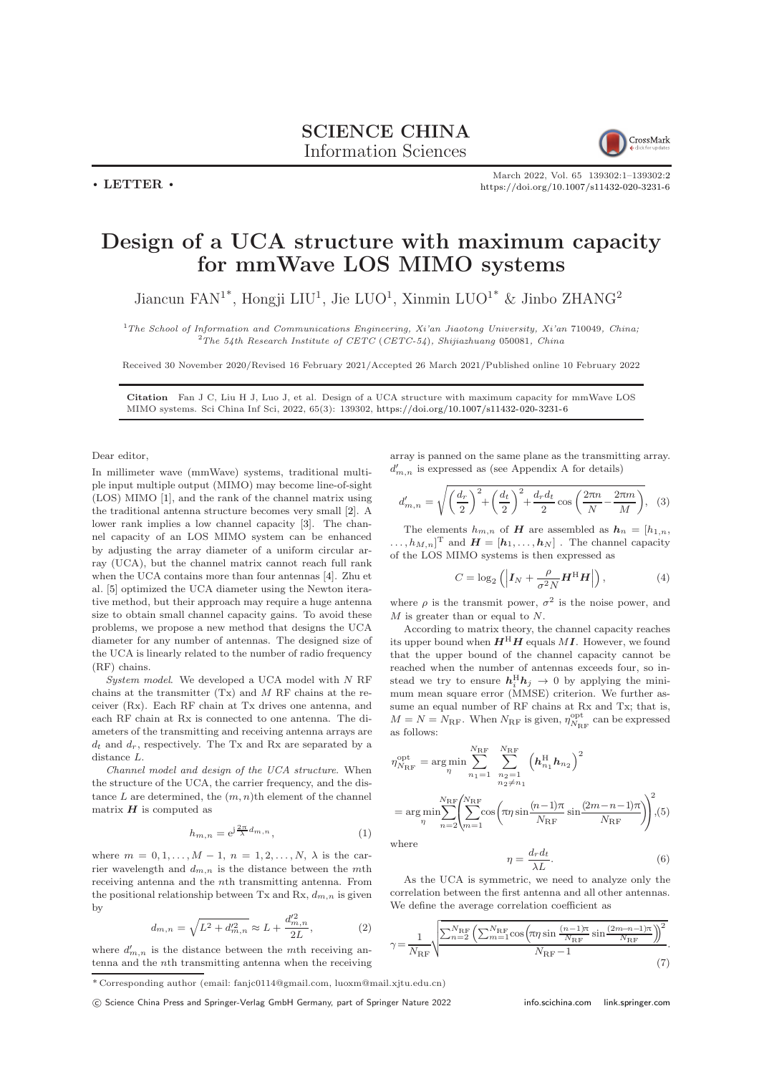

March 2022, Vol. 65 139302:1–139302[:2](#page-1-0) <https://doi.org/10.1007/s11432-020-3231-6>

## Design of a UCA structure with maximum capacity for mmWave LOS MIMO systems

Jiancun FAN<sup>1\*</sup>, Hongji LIU<sup>1</sup>, Jie LUO<sup>1</sup>, Xinmin LUO<sup>1\*</sup> & Jinbo ZHANG<sup>2</sup>

 $1$ The School of Information and Communications Engineering, Xi'an Jiaotong University, Xi'an 710049, China;  $2$ The 54th Research Institute of CETC (CETC-54), Shijiazhuang 050081, China

Received 30 November 2020/Revised 16 February 2021/Accepted 26 March 2021/Published online 10 February 2022

Citation Fan J C, Liu H J, Luo J, et al. Design of a UCA structure with maximum capacity for mmWave LOS MIMO systems. Sci China Inf Sci, 2022, 65(3): 139302, <https://doi.org/10.1007/s11432-020-3231-6>

Dear editor,

 $\cdot$  LETTER  $\cdot$ 

In millimeter wave (mmWave) systems, traditional multiple input multiple output (MIMO) may become line-of-sight (LOS) MIMO [\[1\]](#page-1-1), and the rank of the channel matrix using the traditional antenna structure becomes very small [\[2\]](#page-1-2). A lower rank implies a low channel capacity [\[3\]](#page-1-3). The channel capacity of an LOS MIMO system can be enhanced by adjusting the array diameter of a uniform circular array (UCA), but the channel matrix cannot reach full rank when the UCA contains more than four antennas [\[4\]](#page-1-4). Zhu et al. [\[5\]](#page-1-5) optimized the UCA diameter using the Newton iterative method, but their approach may require a huge antenna size to obtain small channel capacity gains. To avoid these problems, we propose a new method that designs the UCA diameter for any number of antennas. The designed size of the UCA is linearly related to the number of radio frequency (RF) chains.

System model. We developed a UCA model with N RF chains at the transmitter  $(Tx)$  and  $M$  RF chains at the receiver (Rx). Each RF chain at Tx drives one antenna, and each RF chain at Rx is connected to one antenna. The diameters of the transmitting and receiving antenna arrays are  $d_t$  and  $d_r$ , respectively. The Tx and Rx are separated by a distance L.

Channel model and design of the UCA structure. When the structure of the UCA, the carrier frequency, and the distance  $L$  are determined, the  $(m, n)$ <sup>th</sup> element of the channel matrix  $H$  is computed as

$$
h_{m,n} = e^{j\frac{2\pi}{\lambda}d_{m,n}},\tag{1}
$$

where  $m = 0, 1, ..., M - 1, n = 1, 2, ..., N, \lambda$  is the carrier wavelength and  $d_{m,n}$  is the distance between the mth receiving antenna and the nth transmitting antenna. From the positional relationship between Tx and Rx,  $d_{m,n}$  is given by

$$
d_{m,n} = \sqrt{L^2 + d_{m,n}^{\prime 2}} \approx L + \frac{d_{m,n}^{\prime 2}}{2L},\tag{2}
$$

where  $d'_{m,n}$  is the distance between the mth receiving antenna and the nth transmitting antenna when the receiving array is panned on the same plane as the transmitting array.  $d'_{m,n}$  is expressed as (see Appendix A for details)

$$
d'_{m,n} = \sqrt{\left(\frac{d_r}{2}\right)^2 + \left(\frac{d_t}{2}\right)^2 + \frac{d_r d_t}{2} \cos\left(\frac{2\pi n}{N} - \frac{2\pi m}{M}\right)},
$$
 (3)

The elements  $h_{m,n}$  of **H** are assembled as  $h_n = [h_{1,n}]$ ,  $\ldots, h_{M,n}]^{\mathrm{T}}$  and  $\boldsymbol{H} = [\boldsymbol{h}_1, \ldots, \boldsymbol{h}_N]$ . The channel capacity of the LOS MIMO systems is then expressed as

$$
C = \log_2\left(\left| \boldsymbol{I}_N + \frac{\rho}{\sigma^2 N} \boldsymbol{H}^{\mathrm{H}} \boldsymbol{H} \right|\right),\tag{4}
$$

where  $\rho$  is the transmit power,  $\sigma^2$  is the noise power, and M is greater than or equal to N.

According to matrix theory, the channel capacity reaches its upper bound when  $H<sup>H</sup>H$  equals MI. However, we found that the upper bound of the channel capacity cannot be reached when the number of antennas exceeds four, so instead we try to ensure  $h_i^H h_j \rightarrow 0$  by applying the minimum mean square error (MMSE) criterion. We further assume an equal number of RF chains at Rx and Tx; that is,  $M = N = N_{\text{RF}}$ . When  $N_{\text{RF}}$  is given,  $\eta_{N_{\text{RF}}}^{\text{opt}}$  can be expressed as follows:

$$
\eta_{N_{\rm RF}}^{\rm opt} = \arg\min_{\eta} \sum_{n_1=1}^{N_{\rm RF}} \sum_{\substack{n_2=1 \ n_2 \neq n_1}}^{N_{\rm RF}} \left( \mathbf{h}_{n_1}^{\rm H} \mathbf{h}_{n_2} \right)^2
$$

$$
= \arg\min_{\eta} \sum_{n=2}^{N_{\rm RF}} \left( \sum_{m=1}^{N_{\rm RF}} \cos\left(\pi \eta \sin \frac{(n-1)\pi}{N_{\rm RF}} \sin \frac{(2m-n-1)\pi}{N_{\rm RF}} \right) \right)^2, (5)
$$

where

<span id="page-0-1"></span>
$$
\eta = \frac{d_r d_t}{\lambda L}.\tag{6}
$$

As the UCA is symmetric, we need to analyze only the correlation between the first antenna and all other antennas. We define the average correlation coefficient as

<span id="page-0-0"></span>
$$
\gamma = \frac{1}{N_{\rm RF}} \sqrt{\frac{\sum_{n=2}^{N_{\rm RF}} \left( \sum_{m=1}^{N_{\rm RF}} \cos \left( \pi \eta \sin \frac{(n-1)\pi}{N_{\rm RF}} \sin \frac{(2m-n-1)\pi}{N_{\rm RF}} \right) \right)^2}{N_{\rm RF} - 1}}.
$$
\n(7)

\* Corresponding author (email: fanjc0114@gmail.com, luoxm@mail.xjtu.edu.cn)

c Science China Press and Springer-Verlag GmbH Germany, part of Springer Nature 2022 <info.scichina.com><link.springer.com>